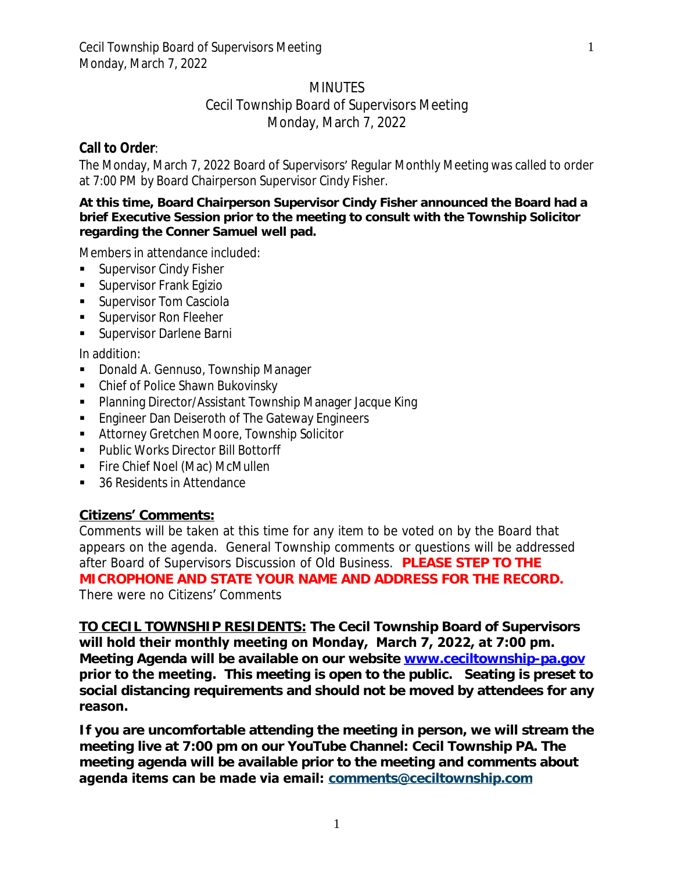# **MINUTES**

## Cecil Township Board of Supervisors Meeting Monday, March 7, 2022

# **Call to Order**:

The Monday, March 7, 2022 Board of Supervisors' Regular Monthly Meeting was called to order at 7:00 PM by Board Chairperson Supervisor Cindy Fisher.

#### **At this time, Board Chairperson Supervisor Cindy Fisher announced the Board had a brief Executive Session prior to the meeting to consult with the Township Solicitor regarding the Conner Samuel well pad.**

Members in attendance included:

- Supervisor Cindy Fisher
- **Supervisor Frank Egizio**
- **Supervisor Tom Casciola**
- **Supervisor Ron Fleeher**
- **Supervisor Darlene Barni**

In addition:

- **Donald A. Gennuso, Township Manager**
- Chief of Police Shawn Bukovinsky
- Planning Director/Assistant Township Manager Jacque King
- **Engineer Dan Deiseroth of The Gateway Engineers**
- **Attorney Gretchen Moore, Township Solicitor**
- **Public Works Director Bill Bottorff**
- **Fire Chief Noel (Mac) McMullen**
- 36 Residents in Attendance

# **Citizens' Comments:**

Comments will be taken at this time for any item to be voted on by the Board that appears on the agenda. General Township comments or questions will be addressed after Board of Supervisors Discussion of Old Business. **PLEASE STEP TO THE MICROPHONE AND STATE YOUR NAME AND ADDRESS FOR THE RECORD.** *There were no Citizens*' *Comments*

**TO CECIL TOWNSHIP RESIDENTS: The Cecil Township Board of Supervisors will hold their monthly meeting on Monday, March 7, 2022, at 7:00 pm. Meeting Agenda will be available on our website [www.ceciltownship-pa.gov](http://www.ceciltownship-pa.gov) prior to the meeting. This meeting is open to the public. Seating is preset to social distancing requirements and should not be moved by attendees for any reason.** 

**If you are uncomfortable attending the meeting in person, we will stream the meeting live at 7:00 pm on our YouTube Channel: Cecil Township PA. The meeting agenda will be available prior to the meeting and comments about agenda items can be made via email: [comments@ceciltownship.com](mailto:comments@ceciltownship.com)**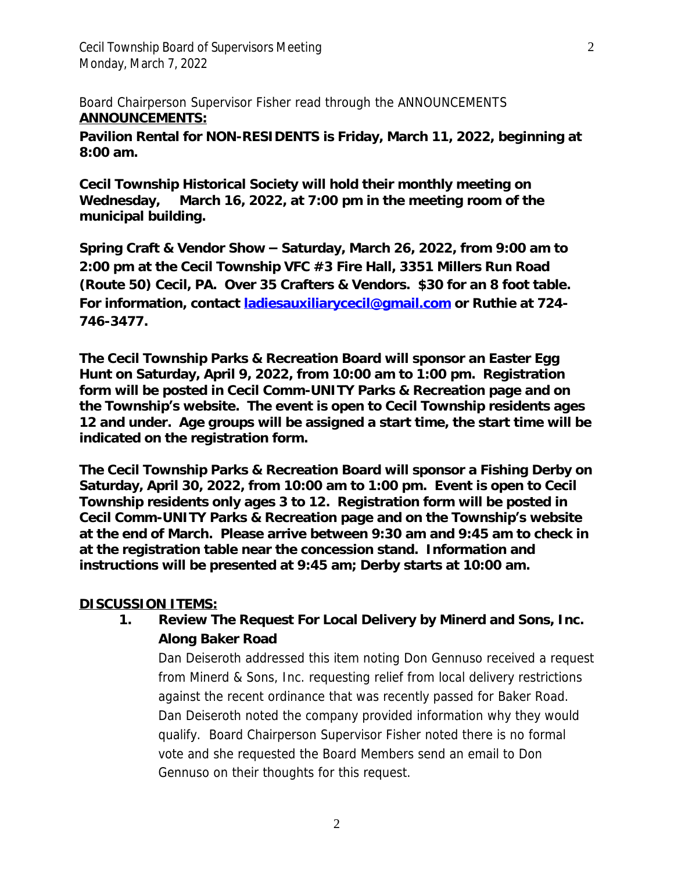Cecil Township Board of Supervisors Meeting 2 Monday, March 7, 2022

*Board Chairperson Supervisor Fisher read through the ANNOUNCEMENTS* **ANNOUNCEMENTS:**

**Pavilion Rental for NON-RESIDENTS is Friday, March 11, 2022, beginning at 8:00 am.**

**Cecil Township Historical Society will hold their monthly meeting on Wednesday, March 16, 2022, at 7:00 pm in the meeting room of the municipal building.**

**Spring Craft & Vendor Show – Saturday, March 26, 2022, from 9:00 am to 2:00 pm at the Cecil Township VFC #3 Fire Hall, 3351 Millers Run Road (Route 50) Cecil, PA. Over 35 Crafters & Vendors. \$30 for an 8 foot table. For information, contact [ladiesauxiliarycecil@gmail.com](mailto:ladiesauxiliarycecil@gmail.com) or Ruthie at 724- 746-3477.** 

**The Cecil Township Parks & Recreation Board will sponsor an Easter Egg Hunt on Saturday, April 9, 2022, from 10:00 am to 1:00 pm. Registration form will be posted in Cecil Comm-UNITY Parks & Recreation page and on the Township's website. The event is open to Cecil Township residents ages 12 and under. Age groups will be assigned a start time, the start time will be indicated on the registration form.** 

**The Cecil Township Parks & Recreation Board will sponsor a Fishing Derby on Saturday, April 30, 2022, from 10:00 am to 1:00 pm. Event is open to Cecil Township residents only ages 3 to 12. Registration form will be posted in Cecil Comm-UNITY Parks & Recreation page and on the Township's website at the end of March. Please arrive between 9:30 am and 9:45 am to check in at the registration table near the concession stand. Information and instructions will be presented at 9:45 am; Derby starts at 10:00 am.**

#### **DISCUSSION ITEMS:**

# **1. Review The Request For Local Delivery by Minerd and Sons, Inc. Along Baker Road**

Dan Deiseroth addressed this item noting Don Gennuso received a request from Minerd & Sons, Inc. requesting relief from local delivery restrictions against the recent ordinance that was recently passed for Baker Road. Dan Deiseroth noted the company provided information why they would qualify. Board Chairperson Supervisor Fisher noted there is no formal vote and she requested the Board Members send an email to Don Gennuso on their thoughts for this request.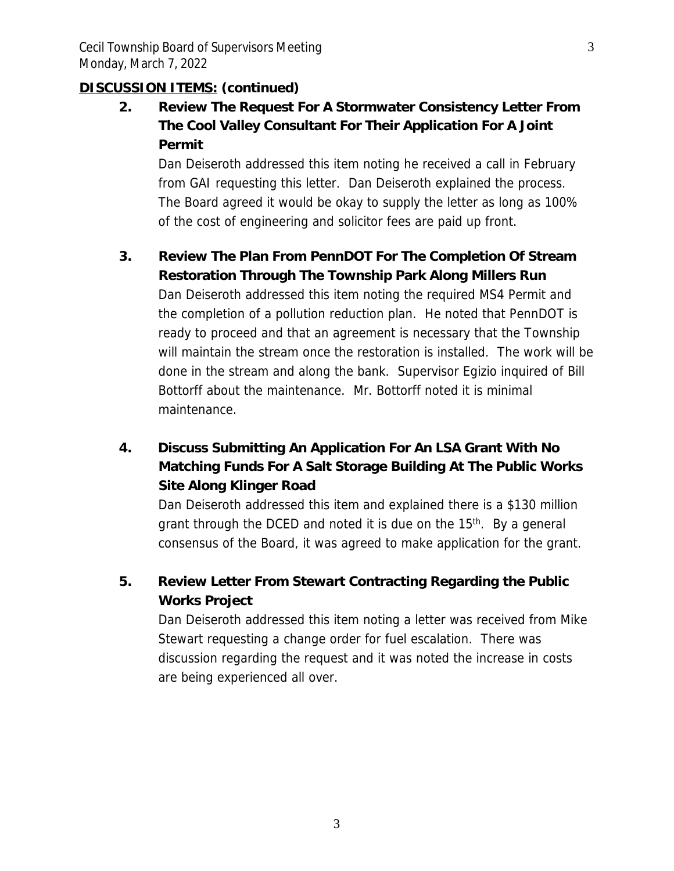# **DISCUSSION ITEMS: (continued)**

**2. Review The Request For A Stormwater Consistency Letter From The Cool Valley Consultant For Their Application For A Joint Permit**

Dan Deiseroth addressed this item noting he received a call in February from GAI requesting this letter. Dan Deiseroth explained the process. The Board agreed it would be okay to supply the letter as long as 100% of the cost of engineering and solicitor fees are paid up front.

# **3. Review The Plan From PennDOT For The Completion Of Stream Restoration Through The Township Park Along Millers Run**

Dan Deiseroth addressed this item noting the required MS4 Permit and the completion of a pollution reduction plan. He noted that PennDOT is ready to proceed and that an agreement is necessary that the Township will maintain the stream once the restoration is installed. The work will be done in the stream and along the bank. Supervisor Egizio inquired of Bill Bottorff about the maintenance. Mr. Bottorff noted it is minimal maintenance.

# **4. Discuss Submitting An Application For An LSA Grant With No Matching Funds For A Salt Storage Building At The Public Works Site Along Klinger Road**

Dan Deiseroth addressed this item and explained there is a \$130 million grant through the DCED and noted it is due on the 15<sup>th</sup>. By a general consensus of the Board, it was agreed to make application for the grant.

# **5. Review Letter From Stewart Contracting Regarding the Public Works Project**

Dan Deiseroth addressed this item noting a letter was received from Mike Stewart requesting a change order for fuel escalation. There was discussion regarding the request and it was noted the increase in costs are being experienced all over.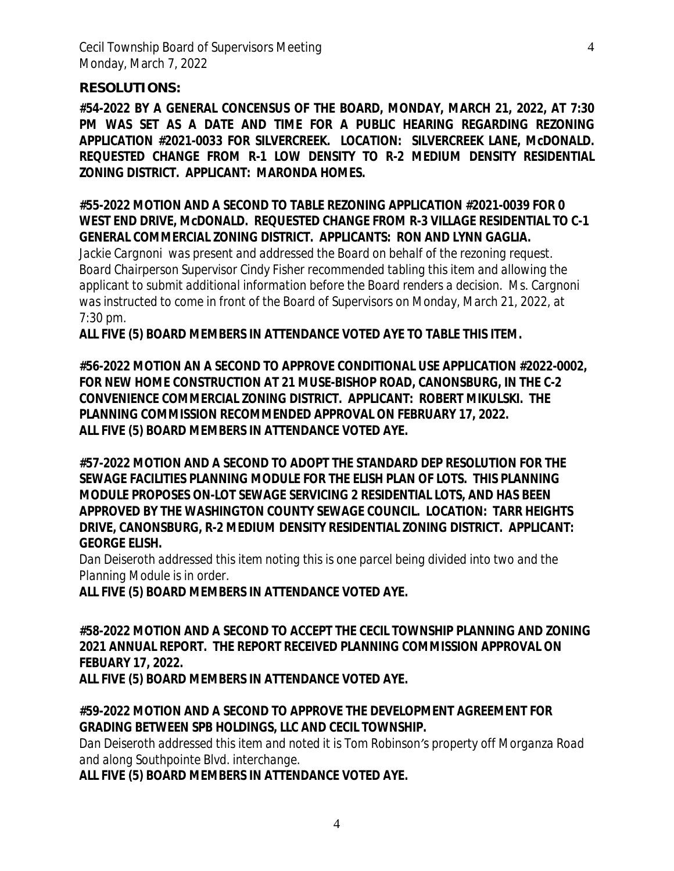#### **RESOLUTIONS:**

**#54-2022 BY A GENERAL CONCENSUS OF THE BOARD, MONDAY, MARCH 21, 2022, AT 7:30 PM WAS SET AS A DATE AND TIME FOR A PUBLIC HEARING REGARDING REZONING APPLICATION #2021-0033 FOR SILVERCREEK. LOCATION: SILVERCREEK LANE, McDONALD. REQUESTED CHANGE FROM R-1 LOW DENSITY TO R-2 MEDIUM DENSITY RESIDENTIAL ZONING DISTRICT. APPLICANT: MARONDA HOMES.**

### **#55-2022 MOTION AND A SECOND TO TABLE REZONING APPLICATION #2021-0039 FOR 0 WEST END DRIVE, McDONALD. REQUESTED CHANGE FROM R-3 VILLAGE RESIDENTIAL TO C-1 GENERAL COMMERCIAL ZONING DISTRICT. APPLICANTS: RON AND LYNN GAGLIA.**

*Jackie Cargnoni was present and addressed the Board on behalf of the rezoning request. Board Chairperson Supervisor Cindy Fisher recommended tabling this item and allowing the applicant to submit additional information before the Board renders a decision. Ms. Cargnoni was instructed to come in front of the Board of Supervisors on Monday, March 21, 2022, at 7:30 pm.*

**ALL FIVE (5) BOARD MEMBERS IN ATTENDANCE VOTED AYE TO TABLE THIS ITEM.**

**#56-2022 MOTION AN A SECOND TO APPROVE CONDITIONAL USE APPLICATION #2022-0002, FOR NEW HOME CONSTRUCTION AT 21 MUSE-BISHOP ROAD, CANONSBURG, IN THE C-2 CONVENIENCE COMMERCIAL ZONING DISTRICT. APPLICANT: ROBERT MIKULSKI. THE PLANNING COMMISSION RECOMMENDED APPROVAL ON FEBRUARY 17, 2022. ALL FIVE (5) BOARD MEMBERS IN ATTENDANCE VOTED AYE.**

**#57-2022 MOTION AND A SECOND TO ADOPT THE STANDARD DEP RESOLUTION FOR THE SEWAGE FACILITIES PLANNING MODULE FOR THE ELISH PLAN OF LOTS. THIS PLANNING MODULE PROPOSES ON-LOT SEWAGE SERVICING 2 RESIDENTIAL LOTS, AND HAS BEEN APPROVED BY THE WASHINGTON COUNTY SEWAGE COUNCIL. LOCATION: TARR HEIGHTS DRIVE, CANONSBURG, R-2 MEDIUM DENSITY RESIDENTIAL ZONING DISTRICT. APPLICANT: GEORGE ELISH.**

*Dan Deiseroth addressed this item noting this is one parcel being divided into two and the Planning Module is in order.*

**ALL FIVE (5) BOARD MEMBERS IN ATTENDANCE VOTED AYE.**

**#58-2022 MOTION AND A SECOND TO ACCEPT THE CECIL TOWNSHIP PLANNING AND ZONING 2021 ANNUAL REPORT. THE REPORT RECEIVED PLANNING COMMISSION APPROVAL ON FEBUARY 17, 2022.**

**ALL FIVE (5) BOARD MEMBERS IN ATTENDANCE VOTED AYE.**

## **#59-2022 MOTION AND A SECOND TO APPROVE THE DEVELOPMENT AGREEMENT FOR GRADING BETWEEN SPB HOLDINGS, LLC AND CECIL TOWNSHIP.**

*Dan Deiseroth addressed this item and noted it is Tom Robinson's property off Morganza Road and along Southpointe Blvd. interchange.*

**ALL FIVE (5) BOARD MEMBERS IN ATTENDANCE VOTED AYE.**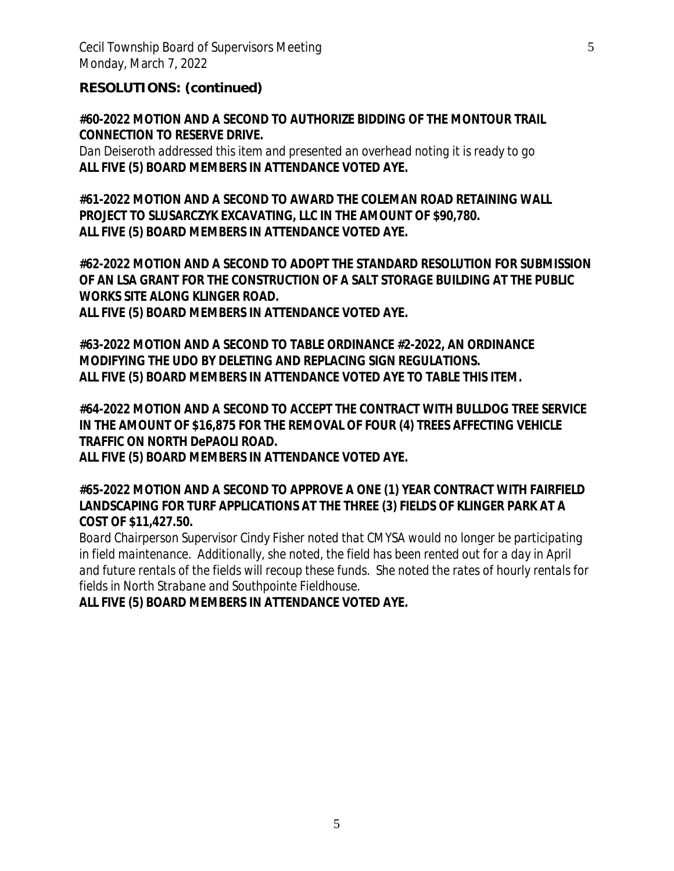Cecil Township Board of Supervisors Meeting 5 5 Monday, March 7, 2022

**RESOLUTIONS: (continued)**

**#60-2022 MOTION AND A SECOND TO AUTHORIZE BIDDING OF THE MONTOUR TRAIL CONNECTION TO RESERVE DRIVE.**

*Dan Deiseroth addressed this item and presented an overhead noting it is ready to go* **ALL FIVE (5) BOARD MEMBERS IN ATTENDANCE VOTED AYE.**

**#61-2022 MOTION AND A SECOND TO AWARD THE COLEMAN ROAD RETAINING WALL PROJECT TO SLUSARCZYK EXCAVATING, LLC IN THE AMOUNT OF \$90,780. ALL FIVE (5) BOARD MEMBERS IN ATTENDANCE VOTED AYE.**

**#62-2022 MOTION AND A SECOND TO ADOPT THE STANDARD RESOLUTION FOR SUBMISSION OF AN LSA GRANT FOR THE CONSTRUCTION OF A SALT STORAGE BUILDING AT THE PUBLIC WORKS SITE ALONG KLINGER ROAD. ALL FIVE (5) BOARD MEMBERS IN ATTENDANCE VOTED AYE.**

**#63-2022 MOTION AND A SECOND TO TABLE ORDINANCE #2-2022, AN ORDINANCE MODIFYING THE UDO BY DELETING AND REPLACING SIGN REGULATIONS. ALL FIVE (5) BOARD MEMBERS IN ATTENDANCE VOTED AYE TO TABLE THIS ITEM.**

**#64-2022 MOTION AND A SECOND TO ACCEPT THE CONTRACT WITH BULLDOG TREE SERVICE IN THE AMOUNT OF \$16,875 FOR THE REMOVAL OF FOUR (4) TREES AFFECTING VEHICLE TRAFFIC ON NORTH DePAOLI ROAD.**

**ALL FIVE (5) BOARD MEMBERS IN ATTENDANCE VOTED AYE.**

**#65-2022 MOTION AND A SECOND TO APPROVE A ONE (1) YEAR CONTRACT WITH FAIRFIELD LANDSCAPING FOR TURF APPLICATIONS AT THE THREE (3) FIELDS OF KLINGER PARK AT A COST OF \$11,427.50.**

*Board Chairperson Supervisor Cindy Fisher noted that CMYSA would no longer be participating* in field maintenance. Additionally, she noted, the field has been rented out for a day in April *and future rentals of the fields will recoup these funds. She noted the rates of hourly rentals for fields in North Strabane and Southpointe Fieldhouse.*

**ALL FIVE (5) BOARD MEMBERS IN ATTENDANCE VOTED AYE.**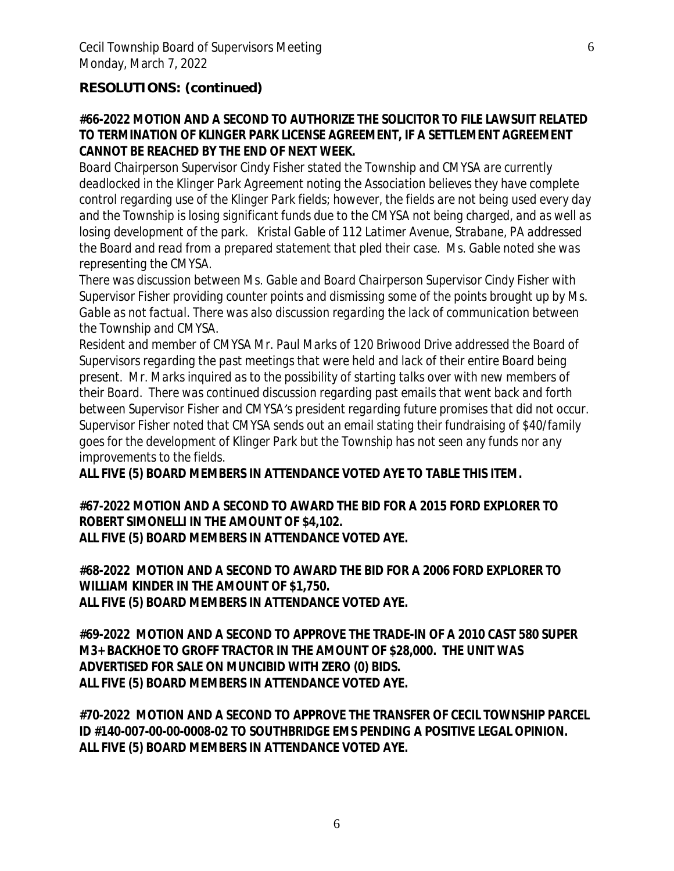## **RESOLUTIONS: (continued)**

## **#66-2022 MOTION AND A SECOND TO AUTHORIZE THE SOLICITOR TO FILE LAWSUIT RELATED TO TERMINATION OF KLINGER PARK LICENSE AGREEMENT, IF A SETTLEMENT AGREEMENT CANNOT BE REACHED BY THE END OF NEXT WEEK.**

*Board Chairperson Supervisor Cindy Fisher stated the Township and CMYSA are currently deadlocked in the Klinger Park Agreement noting the Association believes they have complete control regarding use of the Klinger Park fields; however, the fields are not being used every day and the Township is losing significant funds due to the CMYSA not being charged, and as well as losing development of the park. Kristal Gable of 112 Latimer Avenue, Strabane, PA addressed the Board and read from a prepared statement that pled their case. Ms. Gable noted she was representing the CMYSA.*

*There was discussion between Ms. Gable and Board Chairperson Supervisor Cindy Fisher with Supervisor Fisher providing counter points and dismissing some of the points brought up by Ms. Gable as not factual. There was also discussion regarding the lack of communication between the Township and CMYSA.*

*Resident and member of CMYSA Mr. Paul Marks of 120 Briwood Drive addressed the Board of Supervisors regarding the past meetings that were held and lack of their entire Board being present. Mr. Marks inquired as to the possibility of starting talks over with new members of their Board. There was continued discussion regarding past emails that went back and forth between Supervisor Fisher and CMYSA's president regarding future promises that did not occur. Supervisor Fisher noted that CMYSA sends out an email stating their fundraising of \$40/family goes for the development of Klinger Park but the Township has not seen any funds nor any improvements to the fields.*

**ALL FIVE (5) BOARD MEMBERS IN ATTENDANCE VOTED AYE TO TABLE THIS ITEM.**

**#67-2022 MOTION AND A SECOND TO AWARD THE BID FOR A 2015 FORD EXPLORER TO ROBERT SIMONELLI IN THE AMOUNT OF \$4,102. ALL FIVE (5) BOARD MEMBERS IN ATTENDANCE VOTED AYE.**

**#68-2022 MOTION AND A SECOND TO AWARD THE BID FOR A 2006 FORD EXPLORER TO WILLIAM KINDER IN THE AMOUNT OF \$1,750. ALL FIVE (5) BOARD MEMBERS IN ATTENDANCE VOTED AYE.**

**#69-2022 MOTION AND A SECOND TO APPROVE THE TRADE-IN OF A 2010 CAST 580 SUPER M3+ BACKHOE TO GROFF TRACTOR IN THE AMOUNT OF \$28,000. THE UNIT WAS ADVERTISED FOR SALE ON MUNCIBID WITH ZERO (0) BIDS. ALL FIVE (5) BOARD MEMBERS IN ATTENDANCE VOTED AYE.**

**#70-2022 MOTION AND A SECOND TO APPROVE THE TRANSFER OF CECIL TOWNSHIP PARCEL ID #140-007-00-00-0008-02 TO SOUTHBRIDGE EMS PENDING A POSITIVE LEGAL OPINION. ALL FIVE (5) BOARD MEMBERS IN ATTENDANCE VOTED AYE.**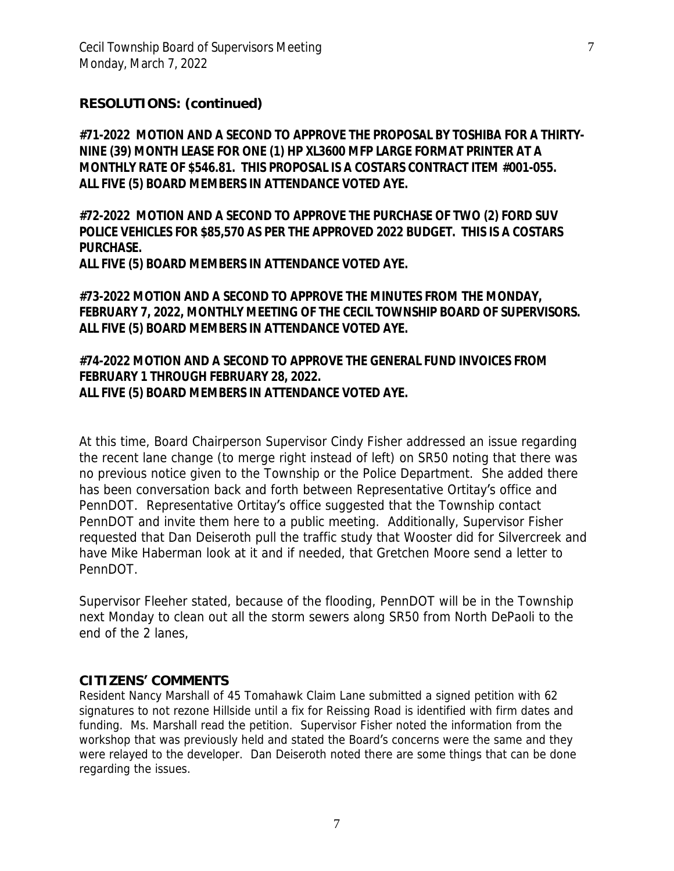## **RESOLUTIONS: (continued)**

**#71-2022 MOTION AND A SECOND TO APPROVE THE PROPOSAL BY TOSHIBA FOR A THIRTY-NINE (39) MONTH LEASE FOR ONE (1) HP XL3600 MFP LARGE FORMAT PRINTER AT A MONTHLY RATE OF \$546.81. THIS PROPOSAL IS A COSTARS CONTRACT ITEM #001-055. ALL FIVE (5) BOARD MEMBERS IN ATTENDANCE VOTED AYE.**

**#72-2022 MOTION AND A SECOND TO APPROVE THE PURCHASE OF TWO (2) FORD SUV POLICE VEHICLES FOR \$85,570 AS PER THE APPROVED 2022 BUDGET. THIS IS A COSTARS PURCHASE.**

**ALL FIVE (5) BOARD MEMBERS IN ATTENDANCE VOTED AYE.**

**#73-2022 MOTION AND A SECOND TO APPROVE THE MINUTES FROM THE MONDAY, FEBRUARY 7, 2022, MONTHLY MEETING OF THE CECIL TOWNSHIP BOARD OF SUPERVISORS. ALL FIVE (5) BOARD MEMBERS IN ATTENDANCE VOTED AYE.**

### **#74-2022 MOTION AND A SECOND TO APPROVE THE GENERAL FUND INVOICES FROM FEBRUARY 1 THROUGH FEBRUARY 28, 2022. ALL FIVE (5) BOARD MEMBERS IN ATTENDANCE VOTED AYE.**

*At this time, Board Chairperson Supervisor Cindy Fisher addressed an issue regarding the recent lane change (to merge right instead of left) on SR50 noting that there was no previous notice given to the Township or the Police Department. She added there has been conversation back and forth between Representative Ortitay*'*s office and PennDOT. Representative Ortitay*'*s office suggested that the Township contact PennDOT and invite them here to a public meeting. Additionally, Supervisor Fisher requested that Dan Deiseroth pull the traffic study that Wooster did for Silvercreek and have Mike Haberman look at it and if needed, that Gretchen Moore send a letter to PennDOT.*

*Supervisor Fleeher stated, because of the flooding, PennDOT will be in the Township next Monday to clean out all the storm sewers along SR50 from North DePaoli to the end of the 2 lanes,* 

#### **CITIZENS' COMMENTS**

*Resident Nancy Marshall of 45 Tomahawk Claim Lane submitted a signed petition with 62 signatures to not rezone Hillside until a fix for Reissing Road is identified with firm dates and*  funding. Ms. Marshall read the petition. Supervisor Fisher noted the information from the *workshop that was previously held and stated the Board*'*s concerns were the same and they were relayed to the developer. Dan Deiseroth noted there are some things that can be done regarding the issues.*